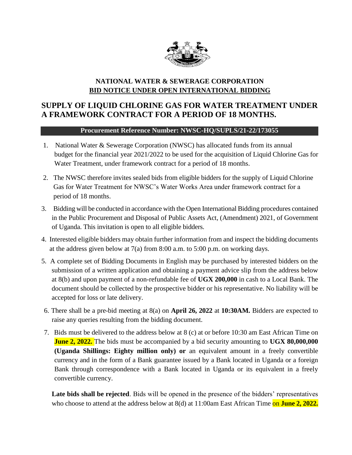

## **NATIONAL WATER & SEWERAGE CORPORATION BID NOTICE UNDER OPEN INTERNATIONAL BIDDING**

## **SUPPLY OF LIQUID CHLORINE GAS FOR WATER TREATMENT UNDER A FRAMEWORK CONTRACT FOR A PERIOD OF 18 MONTHS.**

## **Procurement Reference Number: NWSC-HQ/SUPLS/21-22/173055**

- 1. National Water & Sewerage Corporation (NWSC) has allocated funds from its annual budget for the financial year 2021/2022 to be used for the acquisition of Liquid Chlorine Gas for Water Treatment, under framework contract for a period of 18 months.
- 2. The NWSC therefore invites sealed bids from eligible bidders for the supply of Liquid Chlorine Gas for Water Treatment for NWSC's Water Works Area under framework contract for a period of 18 months.
- 3. Bidding will be conducted in accordance with the Open International Bidding procedures contained in the Public Procurement and Disposal of Public Assets Act, (Amendment) 2021, of Government of Uganda. This invitation is open to all eligible bidders*.*
- 4. Interested eligible bidders may obtain further information from and inspect the bidding documents at the address given below at 7(a) from 8:00 a.m. to 5:00 p.m. on working days.
- 5. A complete set of Bidding Documents in English may be purchased by interested bidders on the submission of a written application and obtaining a payment advice slip from the address below at 8(b) and upon payment of a non-refundable fee of **UGX 200,000** in cash to a Local Bank. The document should be collected by the prospective bidder or his representative. No liability will be accepted for loss or late delivery.
- 6. There shall be a pre-bid meeting at 8(a) on **April 26, 2022** at **10:30AM.** Bidders are expected to raise any queries resulting from the bidding document.
- 7. Bids must be delivered to the address below at 8 (c) at or before 10:30 am East African Time on **June 2, 2022.** The bids must be accompanied by a bid security amounting to **UGX 80,000,000 (Uganda Shillings: Eighty million only) or** an equivalent amount in a freely convertible currency and in the form of a Bank guarantee issued by a Bank located in Uganda or a foreign Bank through correspondence with a Bank located in Uganda or its equivalent in a freely convertible currency.

**Late bids shall be rejected**. Bids will be opened in the presence of the bidders' representatives who choose to attend at the address below at 8(d) at 11:00am East African Time on **June 2, 2022.**